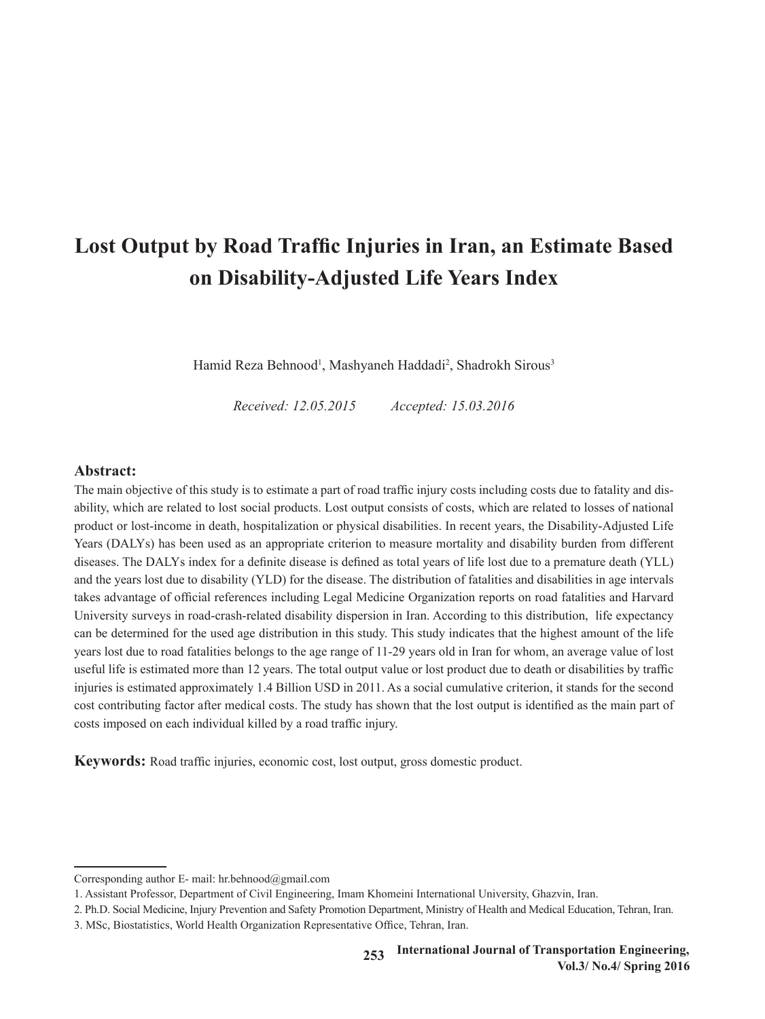# **Lost Output by Road Traffic Injuries in Iran, an Estimate Based on Disability-Adjusted Life Years Index**

Hamid Reza Behnood<sup>1</sup>, Mashyaneh Haddadi<sup>2</sup>, Shadrokh Sirous<sup>3</sup>

*Received: 12.05.2015 Accepted: 15.03.2016*

## **Abstract:**

The main objective of this study is to estimate a part of road traffic injury costs including costs due to fatality and disability, which are related to lost social products. Lost output consists of costs, which are related to losses of national product or lost-income in death, hospitalization or physical disabilities. In recent years, the Disability-Adjusted Life Years (DALYs) has been used as an appropriate criterion to measure mortality and disability burden from different diseases. The DALYs index for a definite disease is defined as total years of life lost due to a premature death (YLL) and the years lost due to disability (YLD) for the disease. The distribution of fatalities and disabilities in age intervals takes advantage of official references including Legal Medicine Organization reports on road fatalities and Harvard University surveys in road-crash-related disability dispersion in Iran. According to this distribution, life expectancy can be determined for the used age distribution in this study. This study indicates that the highest amount of the life years lost due to road fatalities belongs to the age range of 11-29 years old in Iran for whom, an average value of lost useful life is estimated more than 12 years. The total output value or lost product due to death or disabilities by traffic injuries is estimated approximately 1.4 Billion USD in 2011. As a social cumulative criterion, it stands for the second cost contributing factor after medical costs. The study has shown that the lost output is identified as the main part of costs imposed on each individual killed by a road traffic injury.

**Keywords:** Road traffic injuries, economic cost, lost output, gross domestic product.

Corresponding author E- mail: hr.behnood@gmail.com

<sup>1</sup>. Assistant Professor, Department of Civil Engineering, Imam Khomeini International University, Ghazvin, Iran.

<sup>2</sup>. Ph.D. Social Medicine, Injury Prevention and Safety Promotion Department, Ministry of Health and Medical Education, Tehran, Iran.

<sup>3</sup>. MSc, Biostatistics, World Health Organization Representative Office, Tehran, Iran.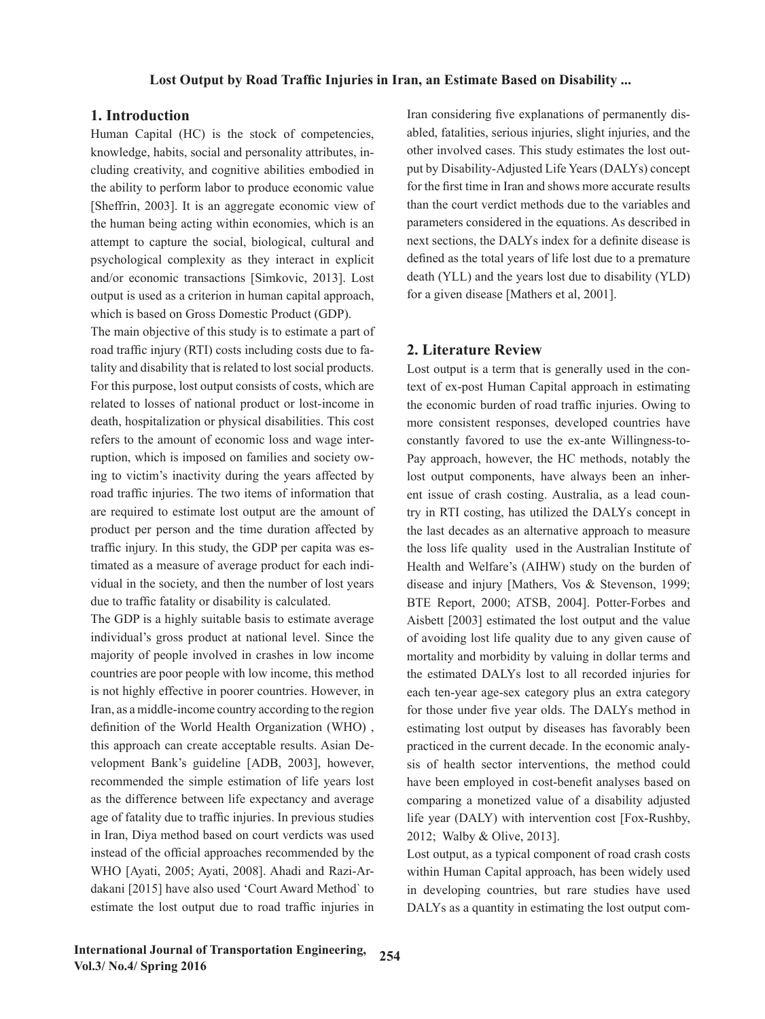### **1. Introduction**

Human Capital (HC) is the stock of competencies, knowledge, habits, social and personality attributes, including creativity, and cognitive abilities embodied in the ability to perform labor to produce economic value [Sheffrin, 2003]. It is an aggregate economic view of the human being acting within economies, which is an attempt to capture the social, biological, cultural and psychological complexity as they interact in explicit and/or economic transactions [Simkovic, 2013]. Lost output is used as a criterion in human capital approach, which is based on Gross Domestic Product (GDP).

The main objective of this study is to estimate a part of road traffic injury (RTI) costs including costs due to fatality and disability that is related to lost social products. For this purpose, lost output consists of costs, which are related to losses of national product or lost-income in death, hospitalization or physical disabilities. This cost refers to the amount of economic loss and wage interruption, which is imposed on families and society owing to victim's inactivity during the years affected by road traffic injuries. The two items of information that are required to estimate lost output are the amount of product per person and the time duration affected by traffic injury. In this study, the GDP per capita was estimated as a measure of average product for each individual in the society, and then the number of lost years due to traffic fatality or disability is calculated.

The GDP is a highly suitable basis to estimate average individual's gross product at national level. Since the majority of people involved in crashes in low income countries are poor people with low income, this method is not highly effective in poorer countries. However, in Iran, as a middle-income country according to the region definition of the World Health Organization (WHO) , this approach can create acceptable results. Asian Development Bank's guideline [ADB, 2003], however, recommended the simple estimation of life years lost as the difference between life expectancy and average age of fatality due to traffic injuries. In previous studies in Iran, Diya method based on court verdicts was used instead of the official approaches recommended by the WHO [Ayati, 2005; Ayati, 2008]. Ahadi and Razi-Ardakani [2015] have also used 'Court Award Method` to estimate the lost output due to road traffic injuries in Iran considering five explanations of permanently disabled, fatalities, serious injuries, slight injuries, and the other involved cases. This study estimates the lost output by Disability-Adjusted Life Years (DALYs) concept for the first time in Iran and shows more accurate results than the court verdict methods due to the variables and parameters considered in the equations. As described in next sections, the DALYs index for a definite disease is defined as the total years of life lost due to a premature death (YLL) and the years lost due to disability (YLD) for a given disease [Mathers et al, 2001].

#### **2. Literature Review**

Lost output is a term that is generally used in the context of ex-post Human Capital approach in estimating the economic burden of road traffic injuries. Owing to more consistent responses, developed countries have constantly favored to use the ex-ante Willingness-to-Pay approach, however, the HC methods, notably the lost output components, have always been an inherent issue of crash costing. Australia, as a lead country in RTI costing, has utilized the DALYs concept in the last decades as an alternative approach to measure the loss life quality used in the Australian Institute of Health and Welfare's (AIHW) study on the burden of disease and injury [Mathers, Vos & Stevenson, 1999; BTE Report, 2000; ATSB, 2004]. Potter-Forbes and Aisbett [2003] estimated the lost output and the value of avoiding lost life quality due to any given cause of mortality and morbidity by valuing in dollar terms and the estimated DALYs lost to all recorded injuries for each ten-year age-sex category plus an extra category for those under five year olds. The DALYs method in estimating lost output by diseases has favorably been practiced in the current decade. In the economic analysis of health sector interventions, the method could have been employed in cost-benefit analyses based on comparing a monetized value of a disability adjusted life year (DALY) with intervention cost [Fox-Rushby, 2012; Walby & Olive, 2013].

Lost output, as a typical component of road crash costs within Human Capital approach, has been widely used in developing countries, but rare studies have used DALYs as a quantity in estimating the lost output com-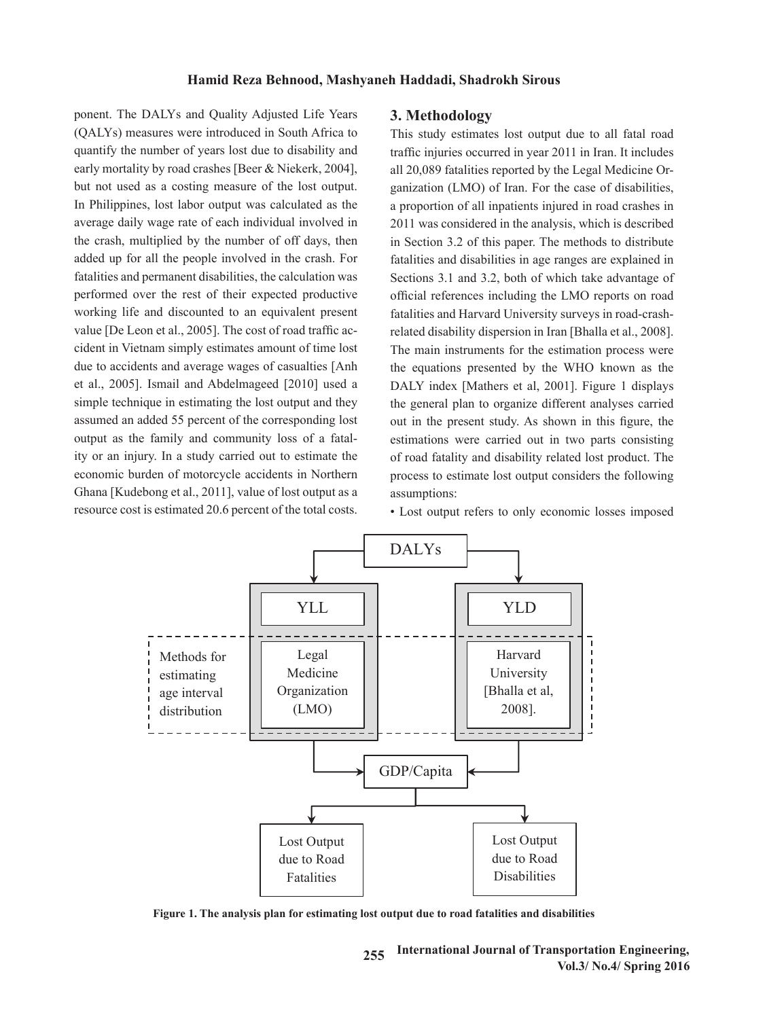ponent. The DALYs and Quality Adjusted Life Years (QALYs) measures were introduced in South Africa to quantify the number of years lost due to disability and traffic injuries occurred in year 2011 in Iran. It includes early mortality by road crashes [Beer & Niekerk, 2004], but not used as a costing measure of the lost output. In Philippines, lost labor output was calculated as the a proportion of all inpatients injured in road crashes in average daily wage rate of each individual involved in average dany wage rate of each multiplied hymnesis in the crash, multiplied by the number of off days, then added up for all the people involved in the crash. For fatalities and permanent disabilities, the calculation was performed over the rest of their expected productive working life and discounted to an equivalent present value [De Leon et al., 2005]. The cost of road traffic accident in Vietnam simply estimates amount of time lost<br>
The main instruments for the estimation process were due to accidents and average wages of casualties [Anh et al., 2005]. Ismail and Abdelmageed  $[2010]$  used a particle in road and all inputs in road case of all inputs in road case of all inputs in road case of all inputs in road case of all inputs in  $\Delta$  particle in  $\Delta$  pa simple technique in estimating the lost output and they assumed an added 55 percent of the corresponding lost output as the family and community loss of a fatality or an injury. In a study carried out to estimate the economic burden of motorcycle accidents in Northern Ghana [Kudebong et al., 2011], value of lost output as a assumptions: resource cost is estimated 20.6 percent of the total costs.

#### **3. Methodology**

This study estimates lost output due to all fatal road traffic injuries occurred in year 2011 in Iran. It includes arly mortality by road crashes [Beer & Niekerk, 2004], all 20,089 fatalities reported by the Legal Medicine Organization (LMO) of Iran. For the case of disabilities, a proportion of all inpatients injured in road crashes in 2011 was considered in the analysis, which is described in Section 3.2 of this paper. The methods to distribute fatalities and disabilities in age ranges are explained in Sections 3.1 and 3.2, both of which take advantage of official references including the LMO reports on road orking life and discounted to an equivalent present fatalities and Harvard University surveys in road-crashrelated disability dispersion in Iran [Bhalla et al., 2008]. The main instruments for the estimation process were the equations presented by the WHO known as the DALY index [Mathers et al, 2001]. Figure 1 displays mple technique in estimating the lost output and they the general plan to organize different analyses carried out in the present study. As shown in this figure, the estimations were carried out in two parts consisting that are explained in two parts consisting in a section of a fataly or an injury. In a study carried out to estimate the lost product and disability related lost product. The process to estimate lost output considers the following assumptions:

• Lost output refers to only economic losses imposed



Figure 1. The analysis plan for estimating lost output due to road fatalities and disabilities **Figure 1. The analysis plan for estimating lost output due to road fatalities and disabilities**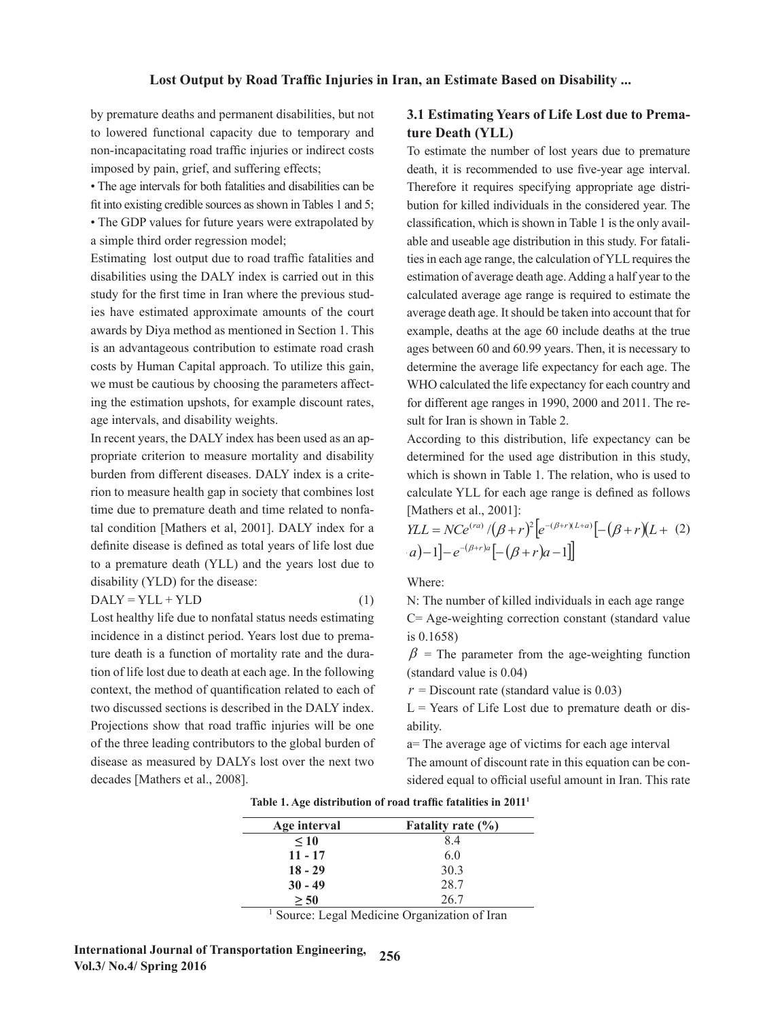by premature deaths and permanent disabilities, but not to lowered functional capacity due to temporary and **ture Death (YLL)** non-incapacitating road traffic injuries or indirect costs imposed by pain, grief, and suffering effects;

• The age intervals for both fatalities and disabilities can be fit into existing credible sources as shown in Tables 1 and 5;

• The GDP values for future years were extrapolated by a simple third order regression model;

Estimating lost output due to road traffic fatalities and disabilities using the DALY index is carried out in this study for the first time in Iran where the previous studies have estimated approximate amounts of the court awards by Diya method as mentioned in Section 1. This is an advantageous contribution to estimate road crash costs by Human Capital approach. To utilize this gain, we must be cautious by choosing the parameters affecting the estimation upshots, for example discount rates, age intervals, and disability weights.

In recent years, the DALY index has been used as an appropriate criterion to measure mortality and disability burden from different diseases. DALY index is a criterion to measure health gap in society that combines lost tion to measure nearing ap in society that combines lost calculate TEE for each age range is defined as follows<br>time due to premature death and time related to nonfa-<br>[Mathers et al., 2001]: tal condition [Mathers et al, 2001]. DALY index for a  $\eta L = N C e^{(ra)} / (\beta + r)^2 \left[ e^{-(\beta + r)(L+a)} \right] - (\beta + r)(L + (2))$ definite disease is defined as total years of life lost due<br>  $a) - 1 - e^{-(\beta+r)a}[-(\beta+r)a - 1]$ to a premature death (YLL) and the years lost due to disability (YLD) for the disease: Where:

$$
DALY = YLL + YLD
$$
 (1) N: The

Lost healthy life due to nonfatal status needs estimating incidence in a distinct period. Years lost due to prema-<br>is 0.1658) ture death is a function of mortality rate and the dura-<br>  $\beta$  = The parameter from the tion of life lost due to death at each age. In the following context, the method of quantification related to each of  $r =$  Discount rate (standard value is 0.03) two discussed sections is described in the DALY index.  $L =$  Years of Projections show that road traffic injuries will be one abili of the three leading contributors to the global burden of disease as measured by DALYs lost over the next two decades [Mathers et al., 2008]. ture death is a function of mortality rate and the dura-<br>  $\beta$  = The parameter from the age-weighting function two discussed sections is described in the DALY index.  $L =$  Years of Life Lost due to premature death or dis-<br>explicitions above that and the Countries will be resulted in 1990.

#### ure deaths and permanent disabilities, but not 3.1 Estimating Years of Life Lost due to Premature Death (YLL)  $t_{\text{true}}$  considered  $\frac{1}{2}$  is shown in Table 1 is the only available and use  $t_{\text{true}}$

acitating road traffic injuries or indirect costs To estimate the number of lost years due to premature death, it is recommended to use five-year age interval. ntervals for both fatalities and disabilities can be Therefore it requires specifying appropriate age distriting credible sources as shown in Tables 1 and 5; bution for killed individuals in the considered year. The values for future years were extrapolated by classification, which is shown in Table 1 is the only available and useable age distribution in this study. For fatali-It so to output due to road traffic fatalities and ties in each age range, the calculation of YLL requires the estimation of average death age. Adding a half year to the calculated average age range is required to estimate the average death age. It should be taken into account that for in Section 1. This example, deaths at the age 60 include deaths at the true Example, ectails at the tige of morate details at the rate ages between 60 and 60.99 years. Then, it is necessary to determine the average life expectancy for each age. The **3** affect- WHO calculated the life expectancy for each country and kunt rates, for different age ranges in 1990, 2000 and 2011. The result for Iran is shown in Table 2. **18 - 29** 30.3 **Example 10** ages between 60 and nis gain, determine the ant rates, **101** university age **Age interval Fatality rate (%) EXECUTE:** 1 **a** 8.4 **C** 8.4 **C** 8.4 **C** 8.4 **C** 8.4 **C** 8.4 **C** 8.4 **C** 8.4 **C** 8.4 **C** 8.4 **C** 8.4 **C** 8.4 **C** 8.4 **C** 8.4 **C** 8.4 **C** 8.4 **C** 8.4 **C** 8.4 **C** 8.4 **C** 8.4 **C** 8.4 **C** 8.4 **C** 8.4 **C** 8.4 **C** 8.4 **C** 8.4 **10 and 2011 The re**death, it is recommended to use five-year age interval.  $t_{\rm F}$  to estimate the average dependence in the according of the short that  $t_{\rm F}$ able and useable age distribution in this study. For fatali- $\epsilon$  countries are controlled age  $\epsilon$  and  $\epsilon$  and  $\epsilon$  is  $\epsilon$  in  $\epsilon$  is shown in  $\epsilon$  is shown in  $\epsilon$  is shown in  $\epsilon$  is shown in  $\epsilon$  is shown in  $\epsilon$  is shown in  $\epsilon$  is a shown in  $\epsilon$  is a shown in  $\epsilon$  is a sho **10** and 2011 The re-**18 2911. 18 18** 

ased as an ap-<br> **According to this distribution**, life expectancy can be determined for the used age distribution in this study, m different diseases. DALY index is a crite-<br>which is shown in Table 1. The relation, who is used to calculate YLL for each age range is defined as follows [Mathers et al., 2001]:  $\lbrack$  in Table 1. The relation, which is used to calculate  $\lbrack$  for each age to calculate YLL for each age of each age of the calculate YLL for each age of the calculate VLL for each age of the calculate VLL for each a

$$
YLL = NCe^{(ra)}/(\beta + r)^{2} [e^{-(\beta + r)(L+a)}] - (\beta + r)(L + (2)
$$
  
\n
$$
a) - 1] - e^{-(\beta + r)a} [-(\beta + r)a - 1]
$$

Where: Where: Where:

N: The number of killed individuals in each age range  $N \cdot The$  $P = \text{KL} + \text{KL}$ 

 $\frac{1}{2}$  . The parameter form the age-weighting function  $\frac{1}{2}$  (standard value is 0.04) C= Age-weighting correction constant (standard value is 0.1658)  $C = C \cdot C \cdot C$  and  $C = C \cdot C \cdot C$  and  $C = C \cdot C \cdot C$  is 0.1658)  $\Gamma$  (SO  $(1658)$ )

 $\sum_{i=1}^{\infty}$   $\sum_{i=1}^{\infty}$   $\sum_{i=1}^{\infty}$   $\sum_{i=1}^{\infty}$   $\sum_{i=1}^{\infty}$   $\sum_{i=1}^{\infty}$   $\sum_{i=1}^{\infty}$   $\sum_{i=1}^{\infty}$   $\sum_{i=1}^{\infty}$   $\sum_{i=1}^{\infty}$   $\sum_{i=1}^{\infty}$   $\sum_{i=1}^{\infty}$   $\sum_{i=1}^{\infty}$   $\sum_{i=1}^{\infty}$   $\sum_{i=1}^{\in$  $\int$  (standard value is 0.04)

 $r =$  Discount rate (standard value is 0.03)

 $L =$  Years of Life Lost due to premature death or dis**ability.** ability.

*a*= The average age of victims for each age interval a= The average age of victims for each age interval The amount of discount rate in this equation can be considered equal to official useful amount in Iran. This rate

| Age interval | Fatality rate $(\% )$ |
|--------------|-----------------------|
| $\leq 10$    | 8.4                   |
| $11 - 17$    | 6.0                   |
| $18 - 29$    | 30.3                  |
| $30 - 49$    | 28.7                  |
| > 50         | 26.7                  |

Table 1. Age distribution of road traffic fatalities in 2011<sup>1</sup> **Table 1. Age distribution of road traffic fatalities in 2011<sup>1</sup>**

<sup>1</sup> Source: Legal Medicine Organization of Iran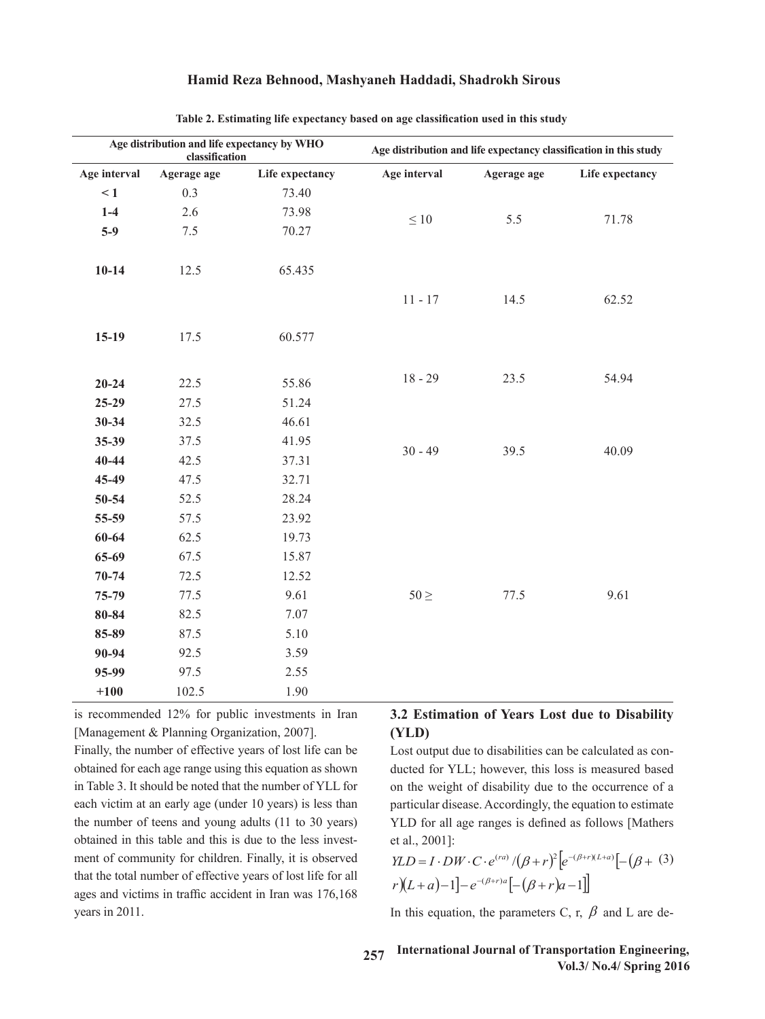|              | classification | Age distribution and life expectancy by WHO |              | Age distribution and life expectancy classification in this study |                 |  |
|--------------|----------------|---------------------------------------------|--------------|-------------------------------------------------------------------|-----------------|--|
| Age interval | Agerage age    | Life expectancy                             | Age interval | Agerage age                                                       | Life expectancy |  |
| $\leq 1$     | 0.3            | 73.40                                       |              |                                                                   |                 |  |
| $1-4$        | 2.6            | 73.98                                       | $\leq 10$    | 5.5                                                               | 71.78           |  |
| $5-9$        | $7.5\,$        | 70.27                                       |              |                                                                   |                 |  |
| $10-14$      | 12.5           | 65.435                                      |              |                                                                   |                 |  |
|              |                |                                             | $11 - 17$    | 14.5                                                              | 62.52           |  |
| $15-19$      | 17.5           | 60.577                                      |              |                                                                   |                 |  |
| $20 - 24$    | 22.5           | 55.86                                       | $18 - 29$    | 23.5                                                              | 54.94           |  |
| $25-29$      | 27.5           | 51.24                                       |              |                                                                   |                 |  |
| $30 - 34$    | 32.5           | 46.61                                       |              |                                                                   |                 |  |
| 35-39        | 37.5           | 41.95                                       |              |                                                                   |                 |  |
| $40 - 44$    | 42.5           | 37.31                                       | $30 - 49$    | 39.5                                                              | 40.09           |  |
| 45-49        | 47.5           | 32.71                                       |              |                                                                   |                 |  |
| 50-54        | 52.5           | 28.24                                       |              |                                                                   |                 |  |
| 55-59        | 57.5           | 23.92                                       |              |                                                                   |                 |  |
| 60-64        | 62.5           | 19.73                                       |              |                                                                   |                 |  |
| 65-69        | 67.5           | 15.87                                       |              |                                                                   |                 |  |
| $70 - 74$    | 72.5           | 12.52                                       |              |                                                                   |                 |  |
| 75-79        | 77.5           | 9.61                                        | $50 \geq$    | 77.5                                                              | 9.61            |  |
| $80 - 84$    | 82.5           | 7.07                                        |              |                                                                   |                 |  |
| 85-89        | 87.5           | 5.10                                        |              |                                                                   |                 |  |
| 90-94        | 92.5           | 3.59                                        |              |                                                                   |                 |  |
| 95-99        | 97.5           | 2.55                                        |              |                                                                   |                 |  |
| $+100$       | 102.5          | 1.90                                        |              |                                                                   |                 |  |

Table 2. Estimating life expectancy based on age classification used in this study **Table 2. Estimating life expectancy based on age classification used in this study**

is recommended 12% for public investments in Iran

#### [Management & Planning Organization, 2007].  $(YLD)$ **2.2 Estimation of Years Lost due to Disability (YLD)**

Finally, the number of effective years of lost life can be obtained for each age range using this equation as shown ducted in Table 3. It should be noted that the number of YLL for each victim at an early age (under 10 years) is less than the number of teens and young adults (11 to 30 years)  $\overline{YLD}$  for all age ranges is defined as follows [Mathers obtained in this table and this is due to the less invest-<br>et al., 2001]: ment of community for children. Finally, it is observed that the total number of effective years of lost life for all  $V_{I}$  and  $e^{(\beta + r)a\int_{I}^{r} (\beta + r)^{n} \Gamma(\beta + r)^{n}}$ that the total number of effective years of lost life for all<br>ages and victims in traffic accident in Iran was 176,168  $r[(L+a)-1]-e^{-(\beta+r)a}[-(\beta+r)a-1]$ years in 2011. obtained for each age range using this equation as shown ducted for YLL; however, this loss is measured based ages and victims in traffic accident in Iran was  $176,168$ 

Lost output due to disabilities can be calculated as con-It should be noted that the number of YLL for on the weight of disability due to the occurrence of a m at an early age (under 10 years) is less than  $particular disease$ . Accordingly, the equation to estimate YLD for all age ranges is defined as follows [Mathers et al., 2001]: 2001]:  $\mu$ aritedian disease. Accordingly, the equation to estimate / 1 1 ( ) <sup>2</sup> ( )( ) *YLL NCe r e r L a e r a ra <sup>r</sup> <sup>L</sup> <sup>a</sup> <sup>r</sup> <sup>a</sup>* (2)

$$
YLD = I \cdot DW \cdot C \cdot e^{(ra)} / (\beta + r)^{2} \left[ e^{-(\beta + r)(L+a)} \right] - (\beta + (3)
$$
  

$$
r)(L+a) - 1 \left] - e^{-(\beta + r)a} \left[ -(\beta + r)a - 1 \right] \right]
$$

11. In this equation, the parameters C, r,  $\beta$  and L are de-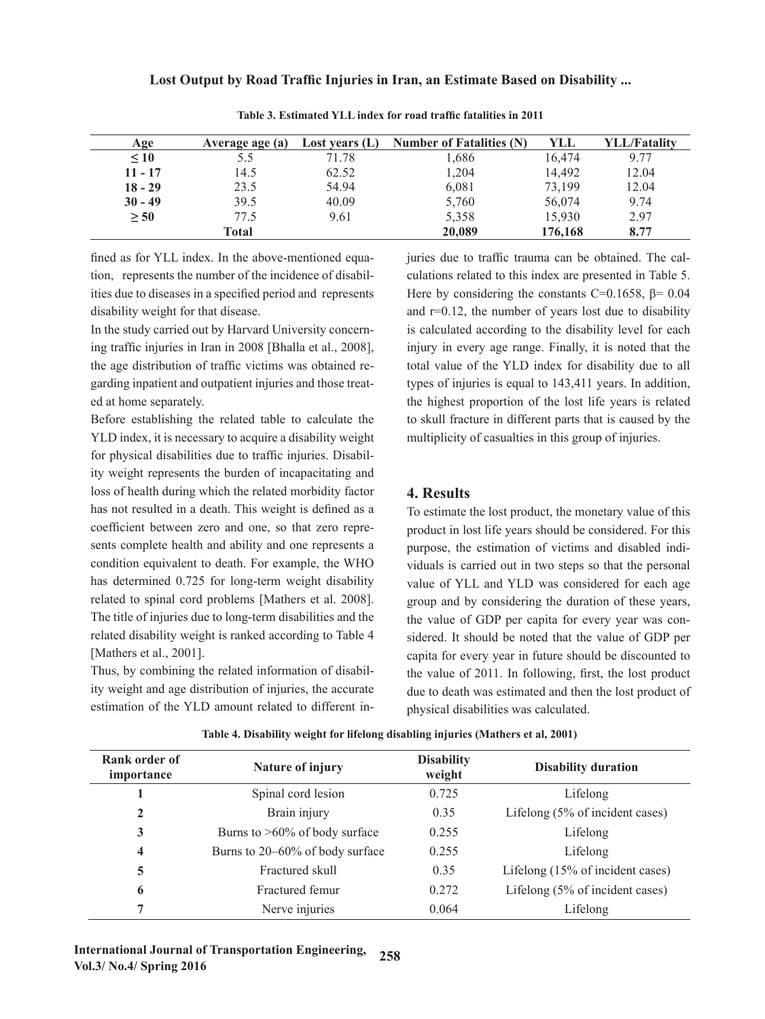| Age       | Average age (a) | Lost vears $(L)$ | <b>Number of Fatalities (N)</b> | YLL     | <b>YLL/Fatality</b> |
|-----------|-----------------|------------------|---------------------------------|---------|---------------------|
| $\leq 10$ |                 | 71.78            | 1.686                           | 16,474  | 9.77                |
| $11 - 17$ | 14.5            | 62.52            | 1,204                           | 14.492  | 12.04               |
| $18 - 29$ | 23.5            | 54.94            | 6,081                           | 73,199  | 12.04               |
| $30 - 49$ | 39.5            | 40.09            | 5,760                           | 56,074  | 9.74                |
| > 50      | 77.5            | 9.61             | 5,358                           | 15,930  | 2.97                |
|           | Total           |                  | 20,089                          | 176,168 | 8.77                |

**Table 3. Estimated YLL index for road traffic fatalities in 2011**

fined as for YLL index. In the above-mentioned equation, represents the number of the incidence of disabilities due to diseases in a specified period and represents **Here** disability weight for that disease.

In the study carried out by Harvard University concerning traffic injuries in Iran in 2008 [Bhalla et al., 2008], the age distribution of traffic victims was obtained regarding inpatient and outpatient injuries and those treated at home separately.

Before establishing the related table to calculate the Before establishing the related table to calculate the to skull hacture in different parts that is caused by the<br>YLD index, it is necessary to acquire a disability weight multiplicity of casualties in this group of injurie for physical disabilities due to traffic injuries. Disability weight represents the burden of incapacitating and loss of health during which the related morbidity factor **4. Results** has not resulted in a death. This weight is defined as a To estimate coefficient between zero and one, so that zero reprecondition equivalent to death. For example, the WHO has determined 0.725 for long-term weight disability related to spinal cord problems [Mathers et al. 2008]. The title of injuries due to long-term disabilities and the related disability weight is ranked according to Table 4 [Mathers et al., 2001].

Thus, by combining the related information of disability weight and age distribution of injuries, the accurate

juries due to traffic trauma can be obtained. The calculations related to this index are presented in Table 5. Here by considering the constants C=0.1658,  $\beta$ = 0.04 disability weight for that disease.<br>
Lost output due to disability in the calculated for YuLi, however, the can be can be calculated for YuLi, however, this lost is lost in the calculated for YuLi, however, the calculated is calculated according to the disability level for each ing traffic injuries in Iran in 2008 [Bhalla et al., 2008], injury in every age range. Finally, it is noted that the total value of the YLD index for disability due to all Accordingly, the equation to estimate YLD for all age ranges is defined as follows [Mathers et al., types of injuries is equal to 143,411 years. In addition, the highest proportion of the lost life years is related to skull fracture in different parts that is caused by the multiplicity of casualties in this group of injuries.

## **4. Results**

sents complete health and ability and one represents a  $\frac{1}{\text{purpose}}$ , the estimation of victims and disabled indiestimation of the YLD amount related to different in-<br>physical disabilities was calculated. To estimate the lost product, the monetary value of this product in lost life years should be considered. For this purpose, the estimation of victims and disabled indicondition equivalent to death. For example, the WHO viduals is carried out in two steps so that the personal value of YLL and YLD was considered for each age group and by considering the duration of these years, The title of injuries due to long-term disabilities and the the value of GDP per capita for every year was considered. It should be noted that the value of GDP per [Mathers et al., 2001]. capita for every year in future should be discounted to capita for every year in future should be discounted to Thus, by combining the related information of disabil-<br>the value of 2011. In following, first, the lost product due to death was estimated and then the lost product of physical disabilities was calculated.

| Rank order of<br>importance | Nature of injury                 | <b>Disability</b><br>weight | <b>Disability duration</b>       |
|-----------------------------|----------------------------------|-----------------------------|----------------------------------|
|                             | Spinal cord lesion               | 0.725                       | Lifelong                         |
| 2                           | Brain injury                     | 0.35                        | Lifelong (5% of incident cases)  |
| 3                           | Burns to $>60\%$ of body surface | 0.255                       | Lifelong                         |
| 4                           | Burns to 20–60% of body surface  | 0.255                       | Lifelong                         |
| 5                           | Fractured skull                  | 0.35                        | Lifelong (15% of incident cases) |
| 6                           | Fractured femur                  | 0.272                       | Lifelong (5% of incident cases)  |
| 7                           | Nerve injuries                   | 0.064                       | Lifelong                         |

Table 4. Disability weight for lifelong disabling injuries (Mathers et al, 2001)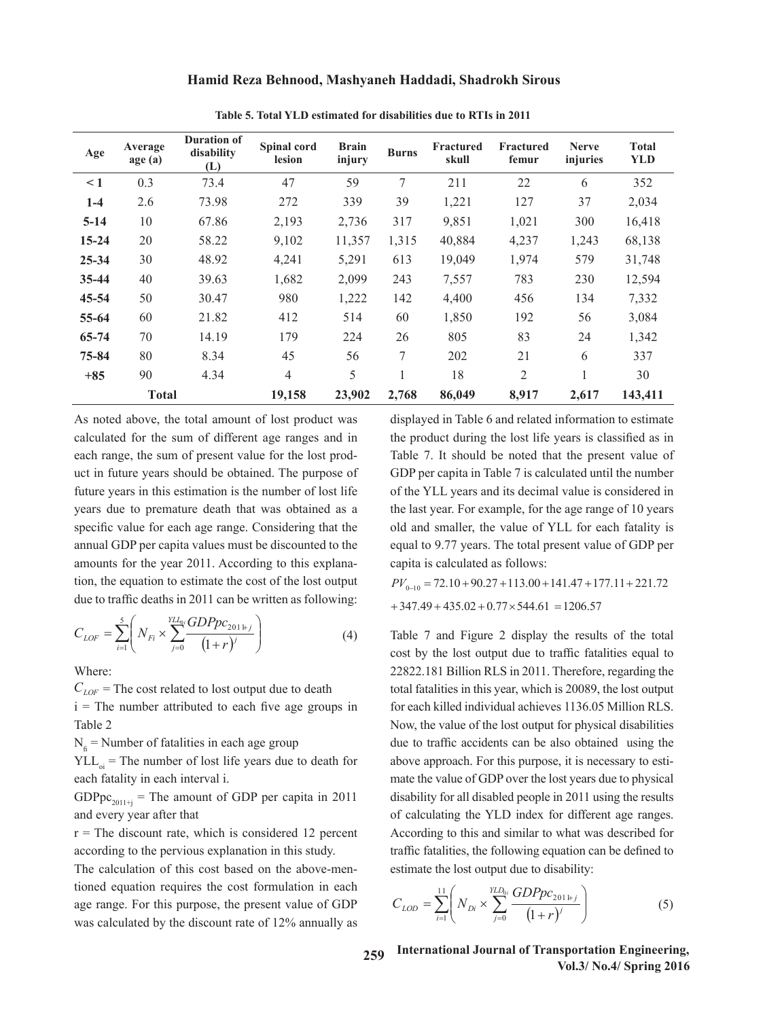| Hamid Reza Behnood, Mashyaneh Haddadi, Shadrokh Sirous |  |  |  |
|--------------------------------------------------------|--|--|--|

| Age       | Average<br>age (a) | <b>Duration of</b><br>disability<br>(L) | Spinal cord<br>lesion | <b>Brain</b><br>injury | <b>Burns</b>  | Fractured<br>skull | Fractured<br>femur | <b>Nerve</b><br>injuries | <b>Total</b><br><b>YLD</b> |
|-----------|--------------------|-----------------------------------------|-----------------------|------------------------|---------------|--------------------|--------------------|--------------------------|----------------------------|
| $\leq 1$  | 0.3                | 73.4                                    | 47                    | 59                     | $\tau$        | 211                | 22                 | 6                        | 352                        |
| $1-4$     | 2.6                | 73.98                                   | 272                   | 339                    | 39            | 1,221              | 127                | 37                       | 2,034                      |
| $5 - 14$  | 10                 | 67.86                                   | 2,193                 | 2,736                  | 317           | 9,851              | 1,021              | 300                      | 16,418                     |
| $15 - 24$ | 20                 | 58.22                                   | 9,102                 | 11,357                 | 1,315         | 40,884             | 4,237              | 1,243                    | 68,138                     |
| 25-34     | 30                 | 48.92                                   | 4,241                 | 5,291                  | 613           | 19,049             | 1,974              | 579                      | 31,748                     |
| 35-44     | 40                 | 39.63                                   | 1,682                 | 2,099                  | 243           | 7,557              | 783                | 230                      | 12,594                     |
| 45-54     | 50                 | 30.47                                   | 980                   | 1,222                  | 142           | 4,400              | 456                | 134                      | 7,332                      |
| 55-64     | 60                 | 21.82                                   | 412                   | 514                    | 60            | 1,850              | 192                | 56                       | 3,084                      |
| 65-74     | 70                 | 14.19                                   | 179                   | 224                    | 26            | 805                | 83                 | 24                       | 1,342                      |
| 75-84     | 80                 | 8.34                                    | 45                    | 56                     | $\mathcal{I}$ | 202                | 21                 | 6                        | 337                        |
| $+85$     | 90                 | 4.34                                    | $\overline{4}$        | 5                      |               | 18                 | $\overline{2}$     |                          | 30                         |
|           | <b>Total</b>       |                                         | 19,158                | 23,902                 | 2,768         | 86,049             | 8,917              | 2,617                    | 143,411                    |

**Table 5. Total YLD estimated for disabilities due to RTIs in 2011** Table 5. Total YLD estimated for disabilities due to RTIs in 2011

As noted above, the total amount of lost product was displayed in Table 6 and related information calculated for the sum of different age ranges and in each range, the sum of present value for the lost prod-<br>Table 7. It should be noted that the pro uct in future years should be obtained. The purpose of GDP per capita in Table 7 is calculated un future years in this estimation is the number of lost life of the YLL years and its decimal value is years due to premature death that was obtained as a the last year. For example, for the age ranger of lost life years due to premature death that was obtained as a the last year. For example, for the age ranger specific value for each age range. Considering that the old and smaller, the value of YLL for each age range. annual GDP per capita values must be discounted to the equal to 9.77 years. The total present values amounts for the year 2011. According to this explana-capita is calculated as follows: tion, the equation to estimate the cost of the lost output  $PV_{0,10} = 72.10 + 90.27 + 113.00 + 141.47 + 17$ due to traffic deaths in 2011 can be written as following: written as following: written as following: As noted above, the total amount of lost product was

$$
C_{LOF} = \sum_{i=1}^{5} \left( N_{Fi} \times \sum_{j=0}^{YLL_0} \frac{GDPpc_{201+j}}{(1+r)^j} \right)
$$
 (4) Table 7 and Figure 2 display the results of the total cost by the lost output due to traffic fatalities equal to

Where: Where: Where:

 $C_{LOF} = 1$  he cost related to lost output due to death  $C_{LOF}$ Table 2 and  $\overline{N}$  $C_{LOF}$  = The cost related to lost output due to death  $\frac{1}{\pi}$  i = The number attributed to each five age groups in formulation Rials Table 2 number antibuted to each live age groups in the cach kined mulviqual act

each fatality in each interval *i*. The number of GDP over  $YLL_{oi}$  = The number of lost life years due to death for above approach. For this pu

GDPpc<sub>2011+j</sub> = The amount of GDP per capita in 2011 disability for all disabled per and every year after that

 $r =$  The discount rate, which is considered 12 percent According to this and similar to what was according to the pervious explanation in this study. The traffic fatalities, the following equation

 $T_{\text{total}}$  calculation of this cost  $\epsilon$  cost  $\epsilon$  on the above-mentioned equation requires the cost  $\epsilon$  formulation in each age range. For this purpose, the present value of GDP  $C_{LOD} = \sum_{i=1}^{n} N_{Di} \times \sum_{i=0}^{3} \frac{325 \cdot P \cdot 201 \cdot F_i}{(1+r)^{i}}$ was calculated by the discount rate of 12% annually as  $\frac{1}{i}$   $\frac{1}{i}$   $\frac{1}{i}$   $\frac{1}{i}$   $\frac{1}{i}$   $\frac{1}{i}$   $\frac{1}{i}$   $\frac{1}{i}$   $\frac{1}{i}$   $\frac{1}{i}$   $\frac{1}{i}$   $\frac{1}{i}$   $\frac{1}{i}$   $\frac{1}{i}$   $\frac{1}{i}$   $\frac{1}{i}$   $\frac{1}{$ The calculation of this cost based on the above-men-<br>estimate the lost output due to disability: tioned equation requires the cost formulation in each  $\sum_{i=1}^{11} \sum_{i=1}^{11} \sum_{i=1}^{11} (BDPpc_{201+i})$  $\alpha$  above approach. For this purpose, it is necessary to estimate the value of  $G$ 

displayed in Table 6 and related information to estimate displayed in Table 6 and related information to estimate the product during the lost life years is classified as in Table 7. It should be noted that the present value of GDP per capita in Table 7 is calculated until the number of the YLL years and its decimal value is considered in the last year. For example, for the age range of 10 years old and smaller, the value of YLL for each fatality is equal to 9.77 years. The total present value of GDP per capita is calculated as follows: **(Million Rials)<sup>1</sup>**  $\sum_{i=1}^{\infty} c_{i}$  *a*  $\sum_{i=1}^{\infty} c_{i}$ **(Million Rials) Year**

 $+347.49 + 435.02 + 0.77 \times 544.61 = 1206.57$ e equation to estimate the cost of the lost output  $PV_{0-10} = 72.10 + 90.27 + 113.00 + 141.47 + 177.11 + 221.72$ **2006** 177.11 120.56 2022 853.54 245.57 245.57 245.57 245.57 245.57 245.57 245.57 245.57 245.57 245.57 245.57 245.

*N<sub>i</sub>* = Number of fatalities in each age group due to traffic accidents can r = The discount rate, which is considered 12 percent According to this and similar to what was described for 22822.181 Billion RLS in 2011. Therefore, regardin cost by the lost output due to traffic fatalities equal to  $\lambda$ **(Million Rials) 2021**<br>**to 2011 c** in this year, which is 20089, the lost output for each killed individual achieves 1136.05 Million RLS. Now, the value of the lost output for physical disabilities 2014 141.47 141.47 161.47 161.47 161.47 161.47 161.47 161.47 161.47 161.47 161.47 161.47 161.47 161.47 161.47 1 alle to traine accidents can be also obtained using the above approach. For this purpose, it is necessary to esti-**2017** 277.57 112.57 177.57 177.57 177.57 177.57 177.57 177.57 177.57 177.57 177.57 177.57 177.57 177.57 177.57 177.57 177.57 177.57 177.57 177.57 177.57 177.57 177.57 177.57 177.57 177.57 177.57 177.57 177.57 177.57 177.5 disability for all disabled people in 2011 using the results traffic fatalities, the following equation can be defined to estimate the lost output due to disability: 22822.181 Billion RLS in 2011. Therefore, regarding the lity in each interval i. mate the value of GDP over the lost years due to physical total fatalities in this year, which is 20089, the lost output due to traffic accidents can be also obtained using the **2015** 177.11 177.12 2023 177.11 177.11 177.11 177.11 178.54 2023 177.11 177.11 177.11 177.11 178.37  $\mu$  13 necessary to est<sup>-</sup> is 20089, the lost output for each killed individual achieves 1136.05 Million RLS. Now, the value of  $\mathcal{L}$ of calculating the YLD index for different age ranges.

$$
C_{LOD} = \sum_{i=1}^{11} \left( N_{Di} \times \sum_{j=0}^{YLD_{0i}} \frac{GDPpc_{201\, \text{H},j}}{\left(1+r\right)^j} \right) \tag{5}
$$

259 International Journal of Transportation Engineering, *Vol.3/ No.4/ Spring 2016*  $\overline{Y}$ ULS/ $\overline{Y}$  $\sim$  1.3/2 is calculated until the NoL3/Neumber of the NoL3/Neumber of the Yo  $\mathbf{v}$  different age ranges. According to this and similar to what was described for traffic  $f_{\text{out}}$  from being to to Intown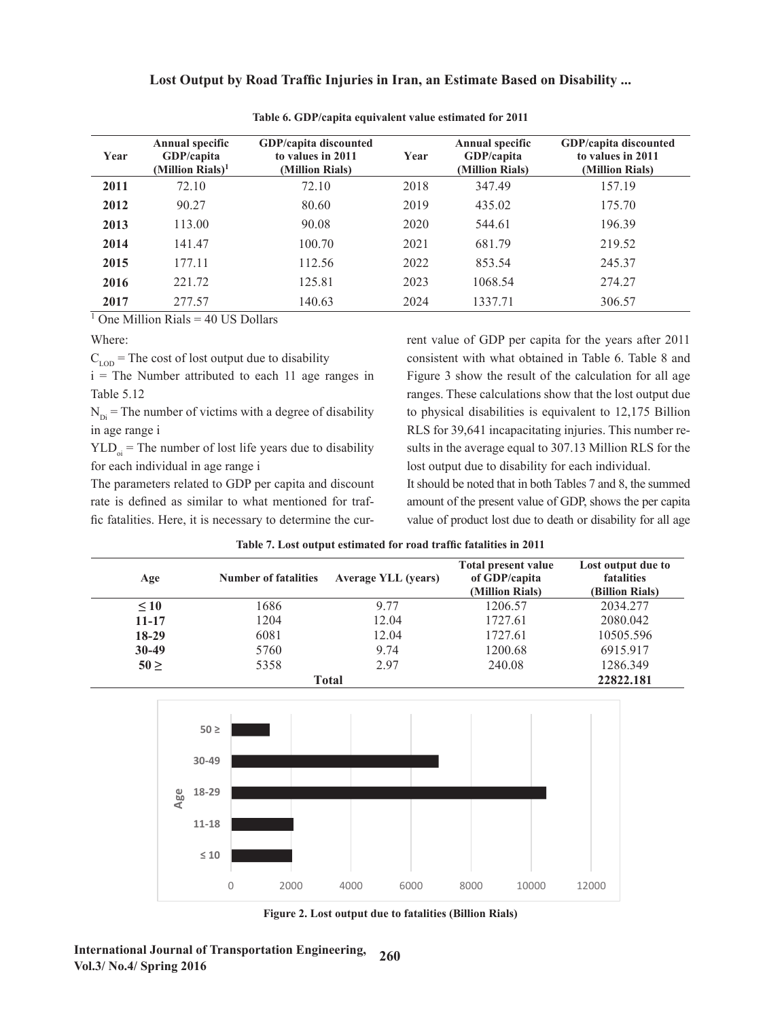|  | Lost Output by Road Traffic Injuries in Iran, an Estimate Based on Disability |  |
|--|-------------------------------------------------------------------------------|--|
|  |                                                                               |  |

| Year | <b>Annual specific</b><br>GDP/capita<br>(Million Rials) <sup>1</sup> | <b>GDP/capita discounted</b><br>to values in 2011<br>(Million Rials) | Year | <b>Annual specific</b><br>GDP/capita<br>(Million Rials) | <b>GDP/capita discounted</b><br>to values in 2011<br>(Million Rials) |
|------|----------------------------------------------------------------------|----------------------------------------------------------------------|------|---------------------------------------------------------|----------------------------------------------------------------------|
| 2011 | 72.10                                                                | 72.10                                                                | 2018 | 347.49                                                  | 157.19                                                               |
| 2012 | 90.27                                                                | 80.60                                                                | 2019 | 435.02                                                  | 175.70                                                               |
| 2013 | 113.00                                                               | 90.08                                                                | 2020 | 544.61                                                  | 196.39                                                               |
| 2014 | 141.47                                                               | 100.70                                                               | 2021 | 681.79                                                  | 219.52                                                               |
| 2015 | 177.11                                                               | 112.56                                                               | 2022 | 853.54                                                  | 245.37                                                               |
| 2016 | 221.72                                                               | 125.81                                                               | 2023 | 1068.54                                                 | 274.27                                                               |
| 2017 | 277.57                                                               | 140.63                                                               | 2024 | 1337.71                                                 | 306.57                                                               |

Table 6. GDP/capita equivalent value estimated for 2011 **Table 6. GDP/capita equivalent value estimated for 2011**

 $\frac{1}{1}$  One Million Rials = 40 US Dollars

Where:

Table 5.12 ranges. These calculations show that the lost output due  $i =$ The Number attributed to each 11 age ranges in Table 5.12

 $N_{\text{Di}}$  = The number of victims with a degree of disability to physical disabilities is equivalent to 12,175 Billion in age range i

for each individual in age range i

The parameters related to GDP per capita and discount fic fatalities. Here, it is necessary to determine the cur-

 $C_{\text{LOD}}$  = The cost of lost output due to disability consistent with what obtained in Table 6. Table 8 and  $YLD_{oi}$  = The number of lost life years due to disability sults in the average equal to 307.13 Million RLS for the for each individual in age range i lost output due to disability for each individual. rent value of GDP per capita for the years after 2011 consistent with what obtained in Table 6. Table 8 and Figure 3 show the result of the calculation for all age to physical disabilities is equivalent to 12,175 Billion RLS for 39,641 incapacitating injuries. This number results in the average equal to 307.13 Million RLS for the

rate is defined as similar to what mentioned for traf-<br>amount of the present value of GDP, shows the per capita fic fatalities. Here, it is necessary to determine the cur-<br>value of product lost due to death or disability for all age It should be noted that in both Tables 7 and 8, the summed amount of the present value of GDP, shows the per capita

| Age       | <b>Number of fatalities</b> | <b>Average YLL (years)</b> | <b>Total present value</b><br>of GDP/capita<br>(Million Rials) | Lost output due to<br>fatalities<br>(Billion Rials) |
|-----------|-----------------------------|----------------------------|----------------------------------------------------------------|-----------------------------------------------------|
| $\leq 10$ | 1686                        | 9 77                       | 1206.57                                                        | 2034.277                                            |
| $11 - 17$ | 1204                        | 12.04                      | 1727.61                                                        | 2080.042                                            |
| $18-29$   | 6081                        | 12.04                      | 1727.61                                                        | 10505.596                                           |
| $30-49$   | 5760                        | 9.74                       | 1200.68                                                        | 6915.917                                            |
| $50 \geq$ | 5358                        | 2.97                       | 240.08                                                         | 1286.349                                            |
|           |                             | Total                      |                                                                | 22822.181                                           |

**Table 7** Leat extent estimated for wead to for fatalities in 2019 Table 7. Lost output estimated for road traffic fatalities in 2011



Figure 2. Lost output due to fatalities (Billion Rials) **Figure 2. Lost output due to fatalities (Billion Rials)**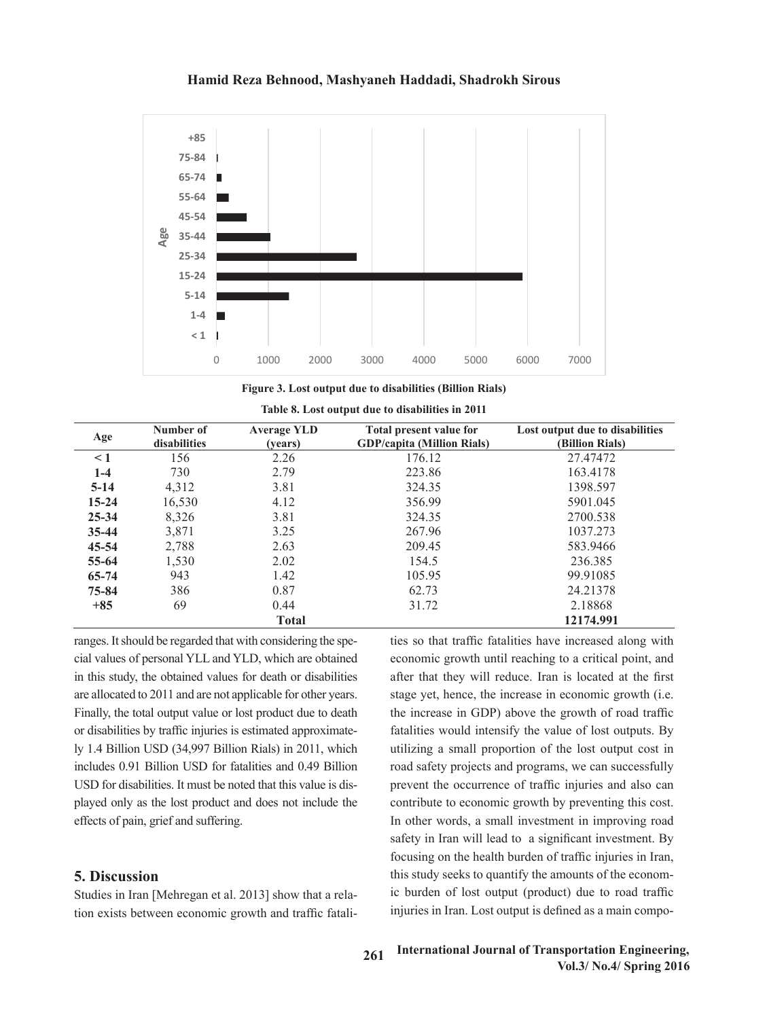

**Figure 3. Lost output due to disabilities (Billion Rials)** Figure 3. Lost output due to disabilities (Billion Rials)

| Table 8. Lost output due to disabilities in 2011 |                           |                               |                                                                     |                                                    |  |  |  |
|--------------------------------------------------|---------------------------|-------------------------------|---------------------------------------------------------------------|----------------------------------------------------|--|--|--|
| Age                                              | Number of<br>disabilities | <b>Average YLD</b><br>(years) | <b>Total present value for</b><br><b>GDP/capita (Million Rials)</b> | Lost output due to disabilities<br>(Billion Rials) |  |  |  |
| $\leq$ 1                                         | 156                       | 2.26                          | 176.12                                                              | 27.47472                                           |  |  |  |
| $1-4$                                            | 730                       | 2.79                          | 223.86                                                              | 163.4178                                           |  |  |  |
| $5-14$                                           | 4,312                     | 3.81                          | 324.35                                                              | 1398.597                                           |  |  |  |
| $15 - 24$                                        | 16,530                    | 4.12                          | 356.99                                                              | 5901.045                                           |  |  |  |
| $25 - 34$                                        | 8,326                     | 3.81                          | 324.35                                                              | 2700.538                                           |  |  |  |
| $35 - 44$                                        | 3,871                     | 3.25                          | 267.96                                                              | 1037.273                                           |  |  |  |
| $45 - 54$                                        | 2,788                     | 2.63                          | 209.45                                                              | 583.9466                                           |  |  |  |
| $55 - 64$                                        | 1,530                     | 2.02                          | 154.5                                                               | 236.385                                            |  |  |  |
| $65 - 74$                                        | 943                       | 1.42                          | 105.95                                                              | 99.91085                                           |  |  |  |
| $75 - 84$                                        | 386                       | 0.87                          | 62.73                                                               | 24.21378                                           |  |  |  |
| $+85$                                            | 69                        | 0.44                          | 31.72                                                               | 2.18868                                            |  |  |  |
|                                                  |                           | <b>Total</b>                  |                                                                     | 12174.991                                          |  |  |  |

ranges. It should be regarded that with considering the spe-<br>ties so that traffic fatalities have increased in this study, the obtained values for death or disabilities are allocated to 2011 and are not applicable for other years. Finally, the total output value or lost product due to death or disabilities by traffic injuries is estimated approximately 1.4 Billion USD (34,997 Billion Rials) in 2011, which includes 0.91 Billion USD for fatalities and 0.49 Billion USD for disabilities. It must be noted that this value is diseffects of pain, grief and suffering.

# **5. Discussion**

Studies in Iran [Mehregan et al. 2013] show that a relation exists between economic growth and traffic fatali-grief and suffering. **5. Discussion**

cial values of personal YLL and YLD, which are obtained economic growth until reaching to a critical point, and played only as the lost product and does not include the contribute to economic growth by preventing this cost. ties so that traffic fatalities have increased along with **The conomic growth until reaching to a critical point, and <b>Total 12174.** after that they will reduce. Iran is located at the first are allocated to 2011 and are not applicable for other years. stage yet, hence, the increase in economic growth (i.e. Finally, the total output value or lost product due to death the increase in GDP) above the growth of road traffic If the performance of lost product due to death on the interests in ODT follows the growth of road trainer or disabilities by traffic injuries is estimated approximate-<br>
fatalities would intensify the value of lost outputs ly 1.4 Billion USD (34,997 Billion Rials) in 2011, which utilizing a small proportion of the lost output cost in includes 0.91 Billion USD for fatalities and 0.49 Billion road safety projects and programs, we can successfully prevent the occurrence of traffic injuries and also can contribute to economic growth by preventing this cost. effects of pain, grief and suffering.<br>In other words, a small investment in improving road safety in Iran will lead to a significant investment. By focusing on the health burden of traffic injuries in Iran, **5. Discussion** this study seeks to quantify the amounts of the economic burden of lost output (product) due to road traffic injuries in Iran. Lost output is defined as a main compo-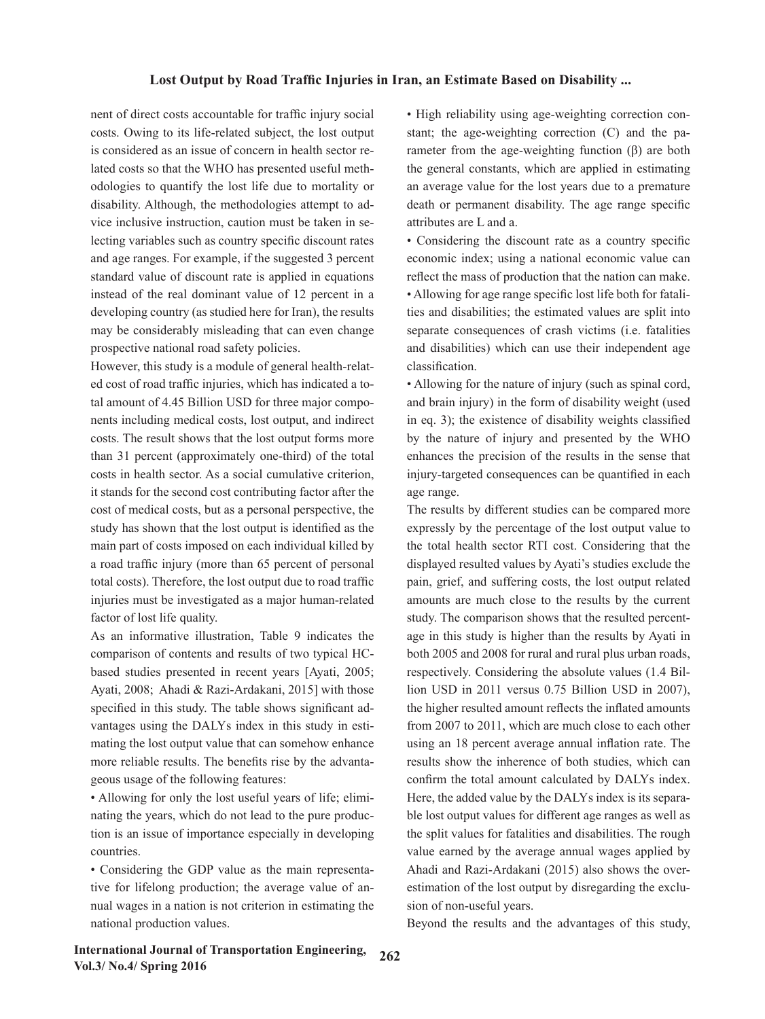nent of direct costs accountable for traffic injury social costs. Owing to its life-related subject, the lost output is considered as an issue of concern in health sector related costs so that the WHO has presented useful methodologies to quantify the lost life due to mortality or disability. Although, the methodologies attempt to advice inclusive instruction, caution must be taken in selecting variables such as country specific discount rates and age ranges. For example, if the suggested 3 percent standard value of discount rate is applied in equations instead of the real dominant value of 12 percent in a developing country (as studied here for Iran), the results may be considerably misleading that can even change prospective national road safety policies.

However, this study is a module of general health-related cost of road traffic injuries, which has indicated a total amount of 4.45 Billion USD for three major components including medical costs, lost output, and indirect costs. The result shows that the lost output forms more than 31 percent (approximately one-third) of the total costs in health sector. As a social cumulative criterion, it stands for the second cost contributing factor after the cost of medical costs, but as a personal perspective, the study has shown that the lost output is identified as the main part of costs imposed on each individual killed by a road traffic injury (more than 65 percent of personal total costs). Therefore, the lost output due to road traffic injuries must be investigated as a major human-related factor of lost life quality.

As an informative illustration, Table 9 indicates the comparison of contents and results of two typical HCbased studies presented in recent years [Ayati, 2005; Ayati, 2008; Ahadi & Razi-Ardakani, 2015] with those specified in this study. The table shows significant advantages using the DALYs index in this study in estimating the lost output value that can somehow enhance more reliable results. The benefits rise by the advantageous usage of the following features:

• Allowing for only the lost useful years of life; eliminating the years, which do not lead to the pure production is an issue of importance especially in developing countries.

• Considering the GDP value as the main representative for lifelong production; the average value of annual wages in a nation is not criterion in estimating the national production values.

• High reliability using age-weighting correction constant; the age-weighting correction (C) and the parameter from the age-weighting function (β) are both the general constants, which are applied in estimating an average value for the lost years due to a premature death or permanent disability. The age range specific attributes are L and a.

• Considering the discount rate as a country specific economic index; using a national economic value can reflect the mass of production that the nation can make. • Allowing for age range specific lost life both for fatalities and disabilities; the estimated values are split into separate consequences of crash victims (i.e. fatalities and disabilities) which can use their independent age classification.

• Allowing for the nature of injury (such as spinal cord, and brain injury) in the form of disability weight (used in eq. 3); the existence of disability weights classified by the nature of injury and presented by the WHO enhances the precision of the results in the sense that injury-targeted consequences can be quantified in each age range.

The results by different studies can be compared more expressly by the percentage of the lost output value to the total health sector RTI cost. Considering that the displayed resulted values by Ayati's studies exclude the pain, grief, and suffering costs, the lost output related amounts are much close to the results by the current study. The comparison shows that the resulted percentage in this study is higher than the results by Ayati in both 2005 and 2008 for rural and rural plus urban roads, respectively. Considering the absolute values (1.4 Billion USD in 2011 versus 0.75 Billion USD in 2007), the higher resulted amount reflects the inflated amounts from 2007 to 2011, which are much close to each other using an 18 percent average annual inflation rate. The results show the inherence of both studies, which can confirm the total amount calculated by DALYs index. Here, the added value by the DALYs index is its separable lost output values for different age ranges as well as the split values for fatalities and disabilities. The rough value earned by the average annual wages applied by Ahadi and Razi-Ardakani (2015) also shows the overestimation of the lost output by disregarding the exclusion of non-useful years.

Beyond the results and the advantages of this study,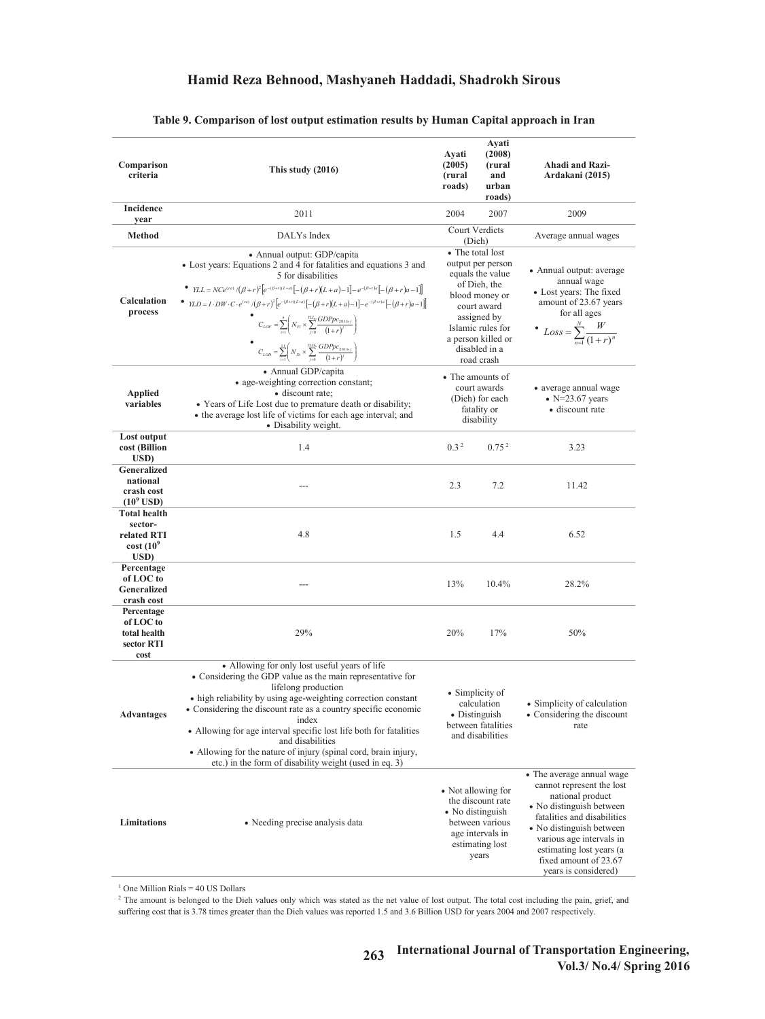| Comparison<br>criteria                                                          | This study $(2016)$                                                                                                                                                                                                                                                                                                                                                                                                                                                                                                                                                                                                                                                                                                                                  | Ayati<br>(2005)<br>(rural<br>roads) | Ayati<br>(2008)<br>(rural<br>and<br>urban<br>roads)                                                                                                                                                 | Ahadi and Razi-<br>Ardakani (2015)                                                                                                                                                                                                                                         |
|---------------------------------------------------------------------------------|------------------------------------------------------------------------------------------------------------------------------------------------------------------------------------------------------------------------------------------------------------------------------------------------------------------------------------------------------------------------------------------------------------------------------------------------------------------------------------------------------------------------------------------------------------------------------------------------------------------------------------------------------------------------------------------------------------------------------------------------------|-------------------------------------|-----------------------------------------------------------------------------------------------------------------------------------------------------------------------------------------------------|----------------------------------------------------------------------------------------------------------------------------------------------------------------------------------------------------------------------------------------------------------------------------|
| Incidence<br>year                                                               | 2011                                                                                                                                                                                                                                                                                                                                                                                                                                                                                                                                                                                                                                                                                                                                                 | 2004                                | 2007                                                                                                                                                                                                | 2009                                                                                                                                                                                                                                                                       |
| Method                                                                          | DALYs Index                                                                                                                                                                                                                                                                                                                                                                                                                                                                                                                                                                                                                                                                                                                                          | Court Verdicts<br>(Dieh)            |                                                                                                                                                                                                     | Average annual wages                                                                                                                                                                                                                                                       |
| Calculation<br>process                                                          | • Annual output: GDP/capita<br>• Lost years: Equations 2 and 4 for fatalities and equations 3 and<br>5 for disabilities<br>• $YLL = NCe^{(ra)}/(\beta + r)^2 \left[e^{-(\beta + r)(L+a)}\right] - (\beta + r)(L+a) - 1\left[-e^{-(\beta + r)a}\right] - (\beta + r)a - 1\right]$<br>$\quad \bullet \quad \textit{YLD} = I \cdot DW \cdot C \cdot e^{(ra)} \cdot ((\beta + r)^2 \left[ e^{-(\beta + r)(L + a)} \left[ -(\beta + r)(L + a) - 1 \right] - e^{-(\beta + r)a} \left[ -(\beta + r)a - 1 \right] \right]$<br>$C_{LOF} = \sum_{i=1}^{5} \left( N_{Fi} \times \sum_{i=0}^{TL_{0i}} \frac{GDPpc_{2011}}{(1+r)^{j}} \right)$<br>$C_{LOD} = \sum_{i=1}^{11} \left( N_{Di} \times \sum_{i=0}^{YLD_{ij}} \frac{GDPpc_{2011+j}}{(1+r)^{i}} \right)$ |                                     | • The total lost<br>output per person<br>equals the value<br>of Dieh, the<br>blood money or<br>court award<br>assigned by<br>Islamic rules for<br>a person killed or<br>disabled in a<br>road crash | • Annual output: average<br>annual wage<br>• Lost years: The fixed<br>amount of 23.67 years<br>for all ages<br>• $Loss = \sum_{n=1}^{N} \frac{W}{(1+r)^n}$                                                                                                                 |
| <b>Applied</b><br>variables                                                     | • Annual GDP/capita<br>• age-weighting correction constant;<br>· discount rate;<br>• Years of Life Lost due to premature death or disability;<br>• the average lost life of victims for each age interval; and<br>• Disability weight.                                                                                                                                                                                                                                                                                                                                                                                                                                                                                                               |                                     | • The amounts of<br>court awards<br>(Dieh) for each<br>fatality or<br>disability                                                                                                                    | • average annual wage<br>$\bullet$ N=23.67 years<br>• discount rate                                                                                                                                                                                                        |
| Lost output<br>cost (Billion<br>USD)                                            | 1.4                                                                                                                                                                                                                                                                                                                                                                                                                                                                                                                                                                                                                                                                                                                                                  | 0.3 <sup>2</sup>                    | 0.75 <sup>2</sup>                                                                                                                                                                                   | 3.23                                                                                                                                                                                                                                                                       |
| Generalized<br>national<br>crash cost<br>$(109$ USD)                            |                                                                                                                                                                                                                                                                                                                                                                                                                                                                                                                                                                                                                                                                                                                                                      | 2.3                                 | 7.2                                                                                                                                                                                                 | 11.42                                                                                                                                                                                                                                                                      |
| <b>Total health</b><br>sector-<br>related RTI<br>cost(10 <sup>9</sup> )<br>USD) | 4.8                                                                                                                                                                                                                                                                                                                                                                                                                                                                                                                                                                                                                                                                                                                                                  | 1.5                                 | 4.4                                                                                                                                                                                                 | 6.52                                                                                                                                                                                                                                                                       |
| Percentage<br>of LOC to<br>Generalized<br>crash cost                            | ---                                                                                                                                                                                                                                                                                                                                                                                                                                                                                                                                                                                                                                                                                                                                                  | 13%                                 | 10.4%                                                                                                                                                                                               | 28.2%                                                                                                                                                                                                                                                                      |
| Percentage<br>of LOC to<br>total health<br>sector RTI<br>cost                   | 29%                                                                                                                                                                                                                                                                                                                                                                                                                                                                                                                                                                                                                                                                                                                                                  | 20%                                 | 17%                                                                                                                                                                                                 | 50%                                                                                                                                                                                                                                                                        |
| <b>Advantages</b>                                                               | • Allowing for only lost useful years of life<br>• Considering the GDP value as the main representative for<br>lifelong production<br>• high reliability by using age-weighting correction constant<br>• Considering the discount rate as a country specific economic<br>index<br>• Allowing for age interval specific lost life both for fatalities<br>and disabilities<br>• Allowing for the nature of injury (spinal cord, brain injury,<br>etc.) in the form of disability weight (used in eq. 3)                                                                                                                                                                                                                                                | • Distinguish                       | • Simplicity of<br>calculation<br>between fatalities<br>and disabilities                                                                                                                            | Simplicity of calculation<br>• Considering the discount<br>rate                                                                                                                                                                                                            |
| Limitations                                                                     | • Needing precise analysis data                                                                                                                                                                                                                                                                                                                                                                                                                                                                                                                                                                                                                                                                                                                      | • Not allowing for                  | the discount rate<br>• No distinguish<br>between various<br>age intervals in<br>estimating lost<br>years                                                                                            | • The average annual wage<br>cannot represent the lost<br>national product<br>• No distinguish between<br>fatalities and disabilities<br>• No distinguish between<br>various age intervals in<br>estimating lost years (a<br>fixed amount of 23.67<br>years is considered) |

# Table 9. Comparison of lost output estimation results by Human Capital approach in Iran **Table 9. Comparison of lost output estimation results by Human Capital approach in Iran**

 $1$  One Million Rials = 40 US Dollars

<sup>2</sup> The amount is belonged to the Dieh values only which was stated as the net value of lost output. The total cost including the pain, grief, and suffering cost that is 3.78 times greater than the Dieh values was reported 1.5 and 3.6 Billion USD for years 2004 and 2007 respectively.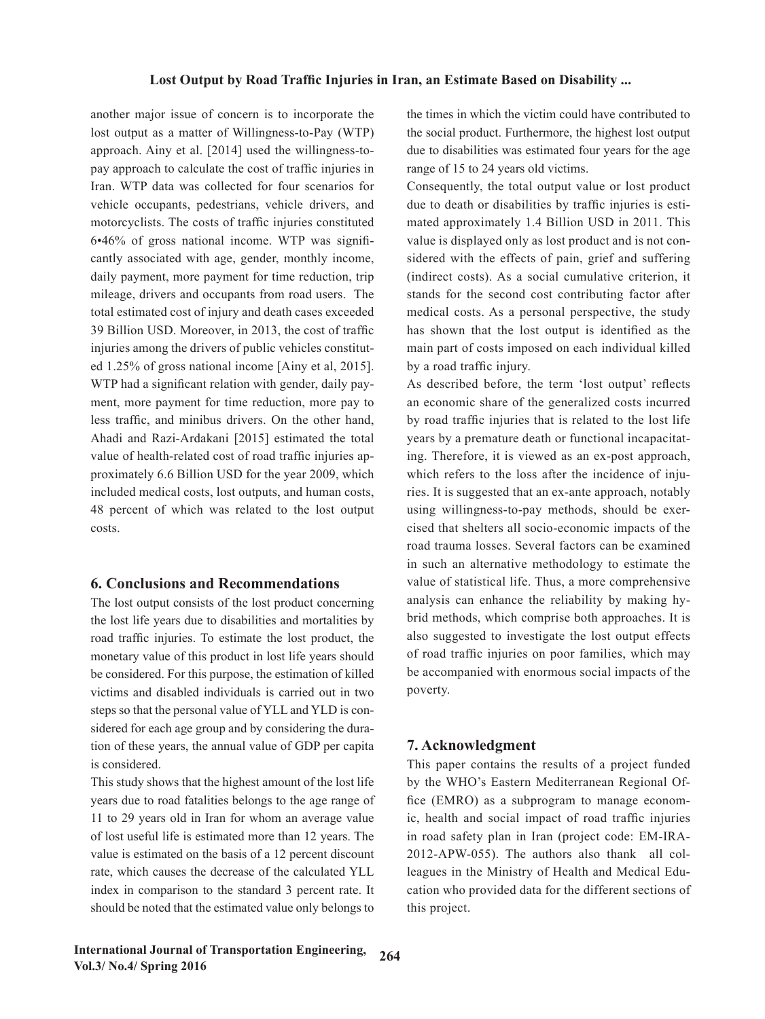another major issue of concern is to incorporate the lost output as a matter of Willingness-to-Pay (WTP) approach. Ainy et al. [2014] used the willingness-topay approach to calculate the cost of traffic injuries in Iran. WTP data was collected for four scenarios for vehicle occupants, pedestrians, vehicle drivers, and motorcyclists. The costs of traffic injuries constituted 6•46% of gross national income. WTP was significantly associated with age, gender, monthly income, daily payment, more payment for time reduction, trip mileage, drivers and occupants from road users. The total estimated cost of injury and death cases exceeded 39 Billion USD. Moreover, in 2013, the cost of traffic injuries among the drivers of public vehicles constituted 1.25% of gross national income [Ainy et al, 2015]. WTP had a significant relation with gender, daily payment, more payment for time reduction, more pay to less traffic, and minibus drivers. On the other hand, Ahadi and Razi-Ardakani [2015] estimated the total value of health-related cost of road traffic injuries approximately 6.6 Billion USD for the year 2009, which included medical costs, lost outputs, and human costs, 48 percent of which was related to the lost output costs.

### **6. Conclusions and Recommendations**

The lost output consists of the lost product concerning the lost life years due to disabilities and mortalities by road traffic injuries. To estimate the lost product, the monetary value of this product in lost life years should be considered. For this purpose, the estimation of killed victims and disabled individuals is carried out in two steps so that the personal value of YLL and YLD is considered for each age group and by considering the duration of these years, the annual value of GDP per capita is considered.

This study shows that the highest amount of the lost life years due to road fatalities belongs to the age range of 11 to 29 years old in Iran for whom an average value of lost useful life is estimated more than 12 years. The value is estimated on the basis of a 12 percent discount rate, which causes the decrease of the calculated YLL index in comparison to the standard 3 percent rate. It should be noted that the estimated value only belongs to

the times in which the victim could have contributed to the social product. Furthermore, the highest lost output due to disabilities was estimated four years for the age range of 15 to 24 years old victims.

Consequently, the total output value or lost product due to death or disabilities by traffic injuries is estimated approximately 1.4 Billion USD in 2011. This value is displayed only as lost product and is not considered with the effects of pain, grief and suffering (indirect costs). As a social cumulative criterion, it stands for the second cost contributing factor after medical costs. As a personal perspective, the study has shown that the lost output is identified as the main part of costs imposed on each individual killed by a road traffic injury.

As described before, the term 'lost output' reflects an economic share of the generalized costs incurred by road traffic injuries that is related to the lost life years by a premature death or functional incapacitating. Therefore, it is viewed as an ex-post approach, which refers to the loss after the incidence of injuries. It is suggested that an ex-ante approach, notably using willingness-to-pay methods, should be exercised that shelters all socio-economic impacts of the road trauma losses. Several factors can be examined in such an alternative methodology to estimate the value of statistical life. Thus, a more comprehensive analysis can enhance the reliability by making hybrid methods, which comprise both approaches. It is also suggested to investigate the lost output effects of road traffic injuries on poor families, which may be accompanied with enormous social impacts of the poverty.

# **7. Acknowledgment**

This paper contains the results of a project funded by the WHO's Eastern Mediterranean Regional Office (EMRO) as a subprogram to manage economic, health and social impact of road traffic injuries in road safety plan in Iran (project code: EM-IRA-2012-APW-055). The authors also thank all colleagues in the Ministry of Health and Medical Education who provided data for the different sections of this project.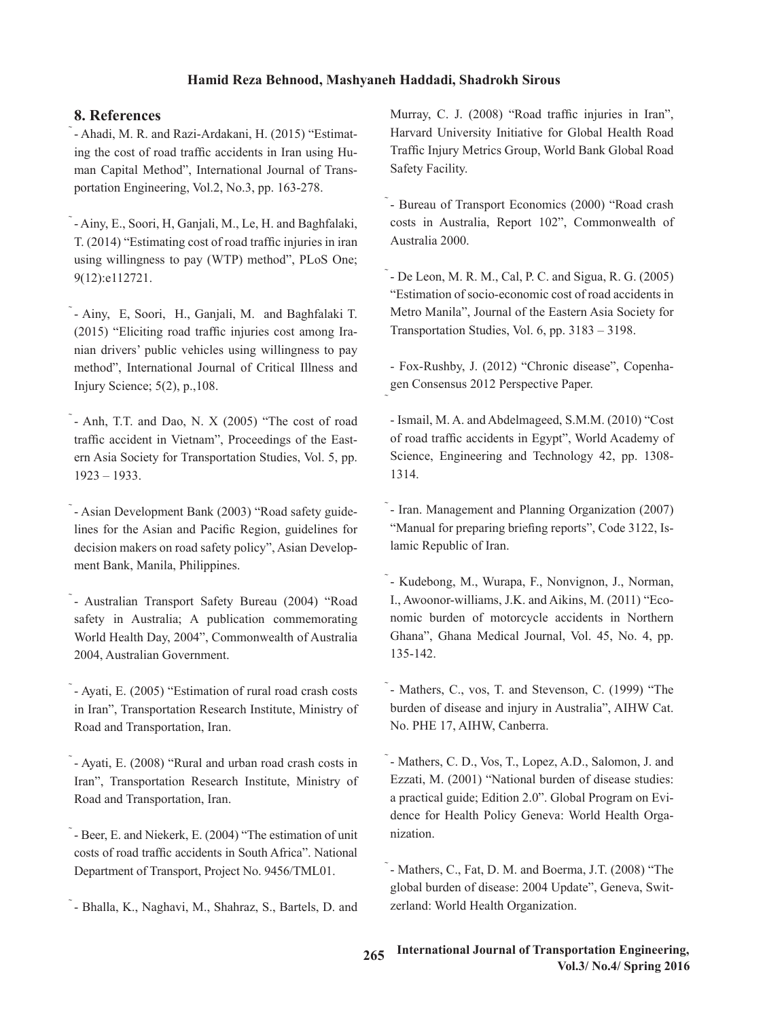# **8. References**

- Ahadi, M. R. and Razi-Ardakani, H. (2015) "Estimating the cost of road traffic accidents in Iran using Human Capital Method", International Journal of Transportation Engineering, Vol.2, No.3, pp. 163-278.

- Ainy, E., Soori, H, Ganjali, M., Le, H. and Baghfalaki, T. (2014) "Estimating cost of road traffic injuries in iran using willingness to pay (WTP) method", PLoS One; 9(12):e112721.

- Ainy, E, Soori, H., Ganjali, M. and Baghfalaki T. (2015) "Eliciting road traffic injuries cost among Iranian drivers' public vehicles using willingness to pay method", International Journal of Critical Illness and Injury Science; 5(2), p.,108.

 $\tilde{\text{ } }$  - Anh, T.T. and Dao, N. X (2005) "The cost of road traffic accident in Vietnam", Proceedings of the Eastern Asia Society for Transportation Studies, Vol. 5, pp. 1923 – 1933.

- Asian Development Bank (2003) "Road safety guidelines for the Asian and Pacific Region, guidelines for decision makers on road safety policy", Asian Development Bank, Manila, Philippines.

- Australian Transport Safety Bureau (2004) "Road safety in Australia; A publication commemorating World Health Day, 2004", Commonwealth of Australia 2004, Australian Government.

- Ayati, E. (2005) "Estimation of rural road crash costs in Iran", Transportation Research Institute, Ministry of Road and Transportation, Iran.

- Ayati, E. (2008) "Rural and urban road crash costs in Iran", Transportation Research Institute, Ministry of Road and Transportation, Iran.

- Beer, E. and Niekerk, E. (2004) "The estimation of unit costs of road traffic accidents in South Africa". National Department of Transport, Project No. 9456/TML01.

- Bhalla, K., Naghavi, M., Shahraz, S., Bartels, D. and

Murray, C. J. (2008) "Road traffic injuries in Iran", Harvard University Initiative for Global Health Road Traffic Injury Metrics Group, World Bank Global Road Safety Facility.

- Bureau of Transport Economics (2000) "Road crash costs in Australia, Report 102", Commonwealth of Australia 2000.

- De Leon, M. R. M., Cal, P. C. and Sigua, R. G. (2005) "Estimation of socio-economic cost of road accidents in Metro Manila", Journal of the Eastern Asia Society for Transportation Studies, Vol. 6, pp. 3183 – 3198.

- Fox-Rushby, J. (2012) "Chronic disease", Copenhagen Consensus 2012 Perspective Paper.

- Ismail, M. A. and Abdelmageed, S.M.M. (2010) "Cost of road traffic accidents in Egypt", World Academy of Science, Engineering and Technology 42, pp. 1308- 1314.

- Iran. Management and Planning Organization (2007) "Manual for preparing briefing reports", Code 3122, Islamic Republic of Iran.

- Kudebong, M., Wurapa, F., Nonvignon, J., Norman, I., Awoonor-williams, J.K. and Aikins, M. (2011) "Economic burden of motorcycle accidents in Northern Ghana", Ghana Medical Journal, Vol. 45, No. 4, pp. 135-142.

- Mathers, C., vos, T. and Stevenson, C. (1999) "The burden of disease and injury in Australia", AIHW Cat. No. PHE 17, AIHW, Canberra.

- Mathers, C. D., Vos, T., Lopez, A.D., Salomon, J. and Ezzati, M. (2001) "National burden of disease studies: a practical guide; Edition 2.0". Global Program on Evidence for Health Policy Geneva: World Health Organization.

- Mathers, C., Fat, D. M. and Boerma, J.T. (2008) "The global burden of disease: 2004 Update", Geneva, Switzerland: World Health Organization.